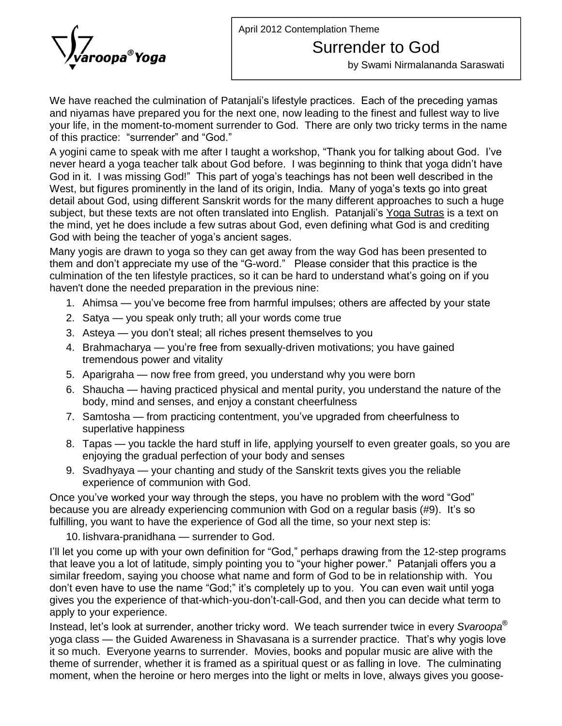April 2012 Contemplation Theme



## Surrender to God

by Swami Nirmalananda Saraswati

We have reached the culmination of Patanjali's lifestyle practices. Each of the preceding yamas and niyamas have prepared you for the next one, now leading to the finest and fullest way to live<br>your life, in the moment-to-moment surrender to God. There are only two tricky terms in the name<br>of this practice: "surrende your life, in the moment-to-moment surrender to God. There are only two tricky terms in the name<br>of this practice: "surrender" and "God."<br>A yogini came to speak with me after I taught a workshop, "Thank you for talking a

of this practice: "surrender" and "God."<br>A yogini came to speak with me after I taught a workshop, "Thank you for talking about God. I've<br>never heard a yoga teacher talk about God before. I was beginning to think that yoga A yogini came to speak with me after I taught a workshop, "Thank you for talking about God. I've<br>never heard a yoga teacher talk about God before. I was beginning to think that yoga didn't have<br>God in it. I was missing The server heard a yoga teacher talk about God before. I was beginning to think that yoga didn't have God in it. I was missing God!" This part of yoga's teachings has not been well described in the West, but figures promin detail about God, using different Sanskrit words for the many different approaches to such a huge West, but figures prominently in the land of its origin, India. Many of yoga's texts go into great the mind, yet he does include a few sutras about God, even defining what God is and crediting subject, but these texts are not often translated into English. Patanjali's Yoga Sutras is a text on the mind, yet he does include a few sutras about God, even defining what God is and crediting God with being the teacher

Many yogis are drawn to yoga so they can get away from the way God has been presented to God with being the teacher of yoga's ancient sages.<br>Many yogis are drawn to yoga so they can get away from the way God has been presented to<br>them and don't appreciate my use of the "G-word." Please consider that this pract Many yogis are drawn to yoga so they can get away from the way God has been presented to<br>them and don't appreciate my use of the "G-word." Please consider that this practice is the<br>culmination of the ten lifestyle practice haven't done the needed preparation in the previous nine: nination of the ten lifestyle practices, so it can be hard to understand what's going on if you<br>en't done the needed preparation in the previous nine:<br>1. Ahimsa — you've become free from harmful impulses; others are affe

- en't done the needed preparation in the previous nine:<br>1. Ahimsa you've become free from harmful impulses; others are<br>2. Satya you speak only truth; all your words come true
- 
- 2. Satya you speak only truth; all your words come true<br>3. Asteya you don't steal; all riches present themselves to you
- 2. Satya you speak only truth; all your words come true<br>3. Asteya you don't steal; all riches present themselves to you<br>4. Brahmacharya you're free from sexually-driven motivations; you have gained tremendous power and vitality 4. Brahmacharya — you're free from sexually-driven motivations; you have gained<br>tremendous power and vitality<br>5. Aparigraha — now free from greed, you understand why you were born
- 
- tremendous power and vitality<br>5. Aparigraha now free from greed, you understand why you were born<br>6. Shaucha having practiced physical and mental purity, you understand the nature of the body, mind and senses, and enjoy a constant cheerfulness 6. Shaucha — having practiced physical and mental purity, you understand the nature of the body, mind and senses, and enjoy a constant cheerfulness to<br>7. Samtosha — from practicing contentment, you've upgraded from cheerfu
- superlative happiness 7. Samtosha — from practicing contentment, you've upgraded from cheerfulness to<br>superlative happiness<br>8. Tapas — you tackle the hard stuff in life, applying yourself to even greater goals, so you are
- enjoying the gradual perfection of your body and senses 8. Tapas — you tackle the hard stuff in life, applying yourself to even greater goals, so you ar<br>enjoying the gradual perfection of your body and senses<br>9. Svadhyaya — your chanting and study of the Sanskrit texts gives yo
- experience of communion with God. 9. Svadhyaya — your chanting and study of the Sanskrit texts gives you the reliable experience of communion with God.<br>Once you've worked your way through the steps, you have no problem with the word "God"

experience of communion with God.<br>Once you've worked your way through the steps, you have no problem with the word "God"<br>because you are already experiencing communion with God on a regular basis (#9). It's so fulfilling, you want to have the experience of God all the time, so your next step is: ause you are already experiencing communion w<br>Iling, you want to have the experience of God all t<br>10. Iishvara-pranidhana — surrender to God.

fulfilling, you want to have the experience of God all the time, so your next step is:<br>10. lishvara-pranidhana — surrender to God.<br>I'll let you come up with your own definition for "God," perhaps drawing from the 12-step p 10. lishvara-pranidhana — surrender to God.<br>I'll let you come up with your own definition for "God," perhaps drawing from the 12-step programs<br>that leave you a lot of latitude, simply pointing you to "your higher power." P similar freedom, saying you choose what name and form of God to be in relationship with. You that leave you a lot of latitude, simply pointing you to "your higher power." Patanjali offers you a<br>similar freedom, saying you choose what name and form of God to be in relationship with. You<br>don't even have to use the n gives you allow the experience, saying you choose what name and form of God to be in relationship with. You don't even have to use the name "God;" it's completely up to you. You can even wait until yoga gives you the exper apply to your experience. gives you the experience of that-which-you-don't-call-God, and then you can decide what term to<br>apply to your experience.<br>Instead, let's look at surrender, another tricky word. We teach surrender twice in every *Svaroopa* 

Instead, let's look at surrender, another tricky word. We teach surrender twice in every Svaroopa<sup>®</sup><br>yoga class — the Guided Awareness in Shavasana is a surrender practice. That's why yogis love it so much. Everyone yearns to surrender. Movies, books and popular music are alive with the theme of surrender, whether it is framed as a spiritual quest or as falling in love. The culminating moment, when the heroine or hero merges into the light or melts in love, always gives you goose